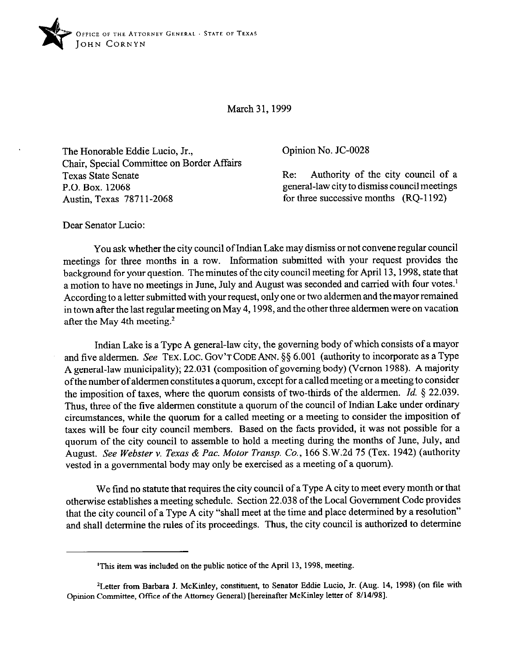

March 31,1999

The Honorable Eddie Lucio, Jr., Chair, Special Committee on Border Affairs Texas State Senate P.O. Box. 12068 Austin, Texas 78711-2068

Opinion No. JC-0028

Re: Authority of the city council of a general-law city to dismiss council meetings for three successive months (RQ-1192)

Dear Senator Lucio:

You ask whether the city council of Indian Lake may dismiss or not convene regular council meetings for three months in a row. Information submitted with your request provides the background for your question. The minutes of the city council meeting for April 13, 1998, state that a motion to have no meetings in June, July and August was seconded and carried with four votes.' According to a letter submitted with your request, only one or two aldermen and the mayor remained in town after the last regular meeting on May 4,1998, and the other three aldermen were on vacation after the May 4th meeting. $2$ 

Indian Lake is a Type A general-law city, the governing body of which consists of a mayor and five aldermen. See TEX. LOC. GOV'T CODE ANN.  $\S$ § 6.001 (authority to incorporate as a Type A general-law municipality); 22.031 (composition of governing body) (Vernon 1988). A majority of the number of aldermen constitutes a quorum, except for a called meeting or a meeting to consider the imposition of taxes, where the quorum consists of two-thirds of the aldermen. *Id.* § 22.039. Thus, three of the five aldermen constitute a quorum of the council of Indian Lake under ordinary circumstances, while the quorum for a called meeting or a meeting to consider the imposition of taxes will be four city council members. Based on the facts provided, it was not possible for a quorum of the city council to assemble to hold a meeting during the months of June, July, and August. *See Webster Y. Texas & Pac. Motor Tramp.* Co., 166 S.W.2d 75 (Tex. 1942) (authority vested in a governmental body may only be exercised as a meeting of a quorum).

We find no statute that requires the city council of a Type A city to meet every month or that otherwise establishes a meeting schedule. Section 22.038 of the Local Government Code provides that the city council of a Type A city "shall meet at the time and place determined by a resolution" and shall determine the rules of its proceedings. Thus, the city council is authorized to determine

<sup>&#</sup>x27;This item was included on the public notice of the April 13,1998, meeting.

<sup>&</sup>lt;sup>2</sup>Letter from Barbara J. McKinley, constituent, to Senator Eddie Lucio, Jr. (Aug. 14, 1998) (on file with Opinion Committee, Office of the Attorney General) [hereinafter McKinley letter of 8/14/98].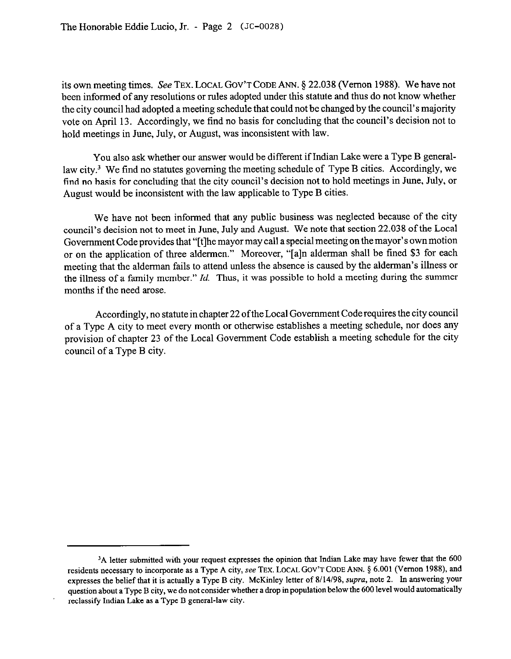its own meeting times. See TEX. LOCAL GOV'T CODE ANN. \$22.038 (Vernon 1988). We have not been informed of any resolutions or rules adopted under this statute and thus do not know whether the city council had adopted a meeting schedule that could not be changed by the council's majority vote on April 13. Accordingly, we find no basis for concluding that the council's decision not to hold meetings in June, July, or August, was inconsistent with law.

You also ask whether our answer would be different if Indian Lake were a Type B generallaw city.<sup>3</sup> We find no statutes governing the meeting schedule of Type B cities. Accordingly, we find no basis for concluding that the city council's decision not to hold meetings in June, July, or August would be inconsistent with the law applicable to Type B cities.

We have not been informed that any public business was neglected because of the city council's decision not to meet in June, July and August. We note that section 22.038 of the Local Government Code provides that "[t]he mayor may call a special meeting on the mayor's own motion or on the application of three aldermen." Moreover, "[a]n alderman shall be fined \$3 for each meeting that the alderman fails to attend unless the absence is caused by the alderman's illness or the illness of a family member." *Id.* Thus, it was possible to hold a meeting during the summer months if the need arose.

Accordingly, no statute in chapter 22 ofthe Local Government Code requires the city council of a Type A city to meet every month or otherwise establishes a meeting schedule, nor does any provision of chapter 23 of the Local Government Code establish a meeting schedule for the city council of a Type B city.

<sup>&</sup>lt;sup>3</sup>A letter submitted with your request expresses the opinion that Indian Lake may have fewer that the 600 residents necessary to incorporate as a Type A city, see TEX. LOCAL GOV'T CODE ANN. § 6.001 (Vernon 1988), and expresses the belief that it is actually a Type B city. McKinley letter of 8/14/98, supra, note 2. In answering your question about a Type B city, we do not consider whether a drop in population below the 600 level would automatically reclassify Indian Lake as a Type B general-law city.